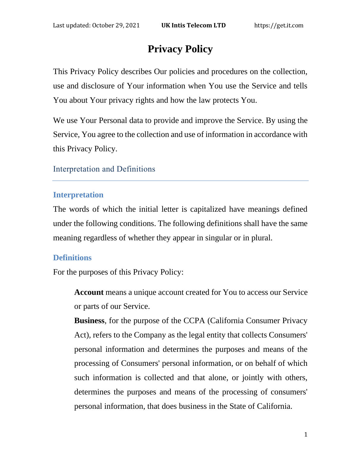# **Privacy Policy**

This Privacy Policy describes Our policies and procedures on the collection, use and disclosure of Your information when You use the Service and tells You about Your privacy rights and how the law protects You.

We use Your Personal data to provide and improve the Service. By using the Service, You agree to the collection and use of information in accordance with this Privacy Policy.

#### Interpretation and Definitions

#### **Interpretation**

The words of which the initial letter is capitalized have meanings defined under the following conditions. The following definitions shall have the same meaning regardless of whether they appear in singular or in plural.

### **Definitions**

For the purposes of this Privacy Policy:

**Account** means a unique account created for You to access our Service or parts of our Service.

**Business**, for the purpose of the CCPA (California Consumer Privacy Act), refers to the Company as the legal entity that collects Consumers' personal information and determines the purposes and means of the processing of Consumers' personal information, or on behalf of which such information is collected and that alone, or jointly with others, determines the purposes and means of the processing of consumers' personal information, that does business in the State of California.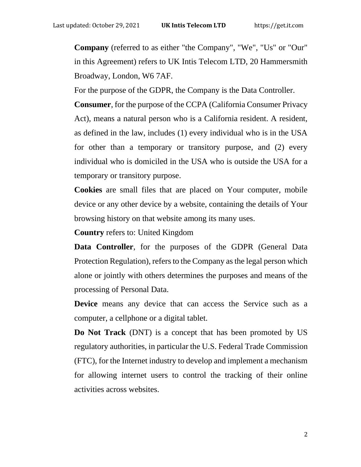**Company** (referred to as either "the Company", "We", "Us" or "Our" in this Agreement) refers to UK Intis Telecom LTD, 20 Hammersmith Broadway, London, W6 7AF.

For the purpose of the GDPR, the Company is the Data Controller.

**Consumer**, for the purpose of the CCPA (California Consumer Privacy Act), means a natural person who is a California resident. A resident, as defined in the law, includes (1) every individual who is in the USA for other than a temporary or transitory purpose, and (2) every individual who is domiciled in the USA who is outside the USA for a temporary or transitory purpose.

**Cookies** are small files that are placed on Your computer, mobile device or any other device by a website, containing the details of Your browsing history on that website among its many uses.

**Country** refers to: United Kingdom

**Data Controller**, for the purposes of the GDPR (General Data Protection Regulation), refers to the Company as the legal person which alone or jointly with others determines the purposes and means of the processing of Personal Data.

**Device** means any device that can access the Service such as a computer, a cellphone or a digital tablet.

**Do Not Track** (DNT) is a concept that has been promoted by US regulatory authorities, in particular the U.S. Federal Trade Commission (FTC), for the Internet industry to develop and implement a mechanism for allowing internet users to control the tracking of their online activities across websites.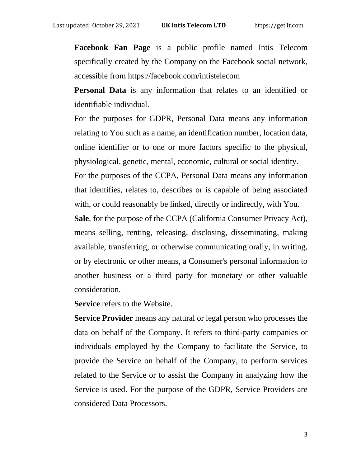**Facebook Fan Page** is a public profile named Intis Telecom specifically created by the Company on the Facebook social network, accessible from<https://facebook.com/intistelecom>

**Personal Data** is any information that relates to an identified or identifiable individual.

For the purposes for GDPR, Personal Data means any information relating to You such as a name, an identification number, location data, online identifier or to one or more factors specific to the physical, physiological, genetic, mental, economic, cultural or social identity. For the purposes of the CCPA, Personal Data means any information that identifies, relates to, describes or is capable of being associated with, or could reasonably be linked, directly or indirectly, with You. **Sale**, for the purpose of the CCPA (California Consumer Privacy Act),

means selling, renting, releasing, disclosing, disseminating, making available, transferring, or otherwise communicating orally, in writing, or by electronic or other means, a Consumer's personal information to another business or a third party for monetary or other valuable consideration.

**Service** refers to the Website.

**Service Provider** means any natural or legal person who processes the data on behalf of the Company. It refers to third-party companies or individuals employed by the Company to facilitate the Service, to provide the Service on behalf of the Company, to perform services related to the Service or to assist the Company in analyzing how the Service is used. For the purpose of the GDPR, Service Providers are considered Data Processors.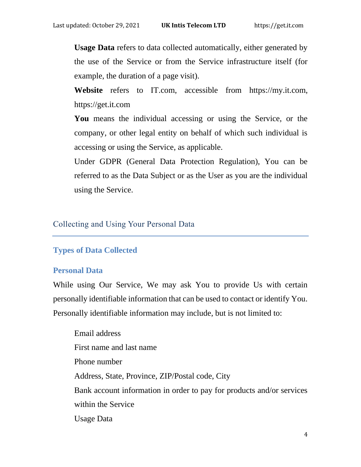**Usage Data** refers to data collected automatically, either generated by the use of the Service or from the Service infrastructure itself (for example, the duration of a page visit).

**Website** refers to IT.com, accessible from [https://my.it.com,](https://my.it.com/) https://get.it.com

**You** means the individual accessing or using the Service, or the company, or other legal entity on behalf of which such individual is accessing or using the Service, as applicable.

Under GDPR (General Data Protection Regulation), You can be referred to as the Data Subject or as the User as you are the individual using the Service.

#### Collecting and Using Your Personal Data

#### **Types of Data Collected**

#### **Personal Data**

While using Our Service, We may ask You to provide Us with certain personally identifiable information that can be used to contact or identify You. Personally identifiable information may include, but is not limited to:

Email address First name and last name Phone number Address, State, Province, ZIP/Postal code, City Bank account information in order to pay for products and/or services within the Service Usage Data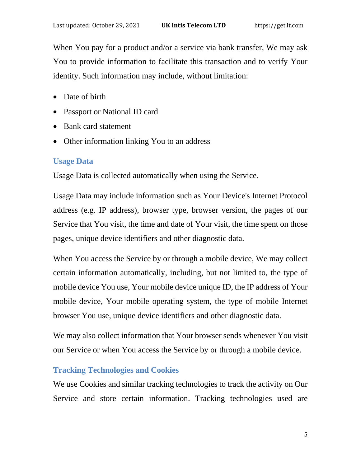When You pay for a product and/or a service via bank transfer, We may ask You to provide information to facilitate this transaction and to verify Your identity. Such information may include, without limitation:

- Date of birth
- Passport or National ID card
- Bank card statement
- Other information linking You to an address

# **Usage Data**

Usage Data is collected automatically when using the Service.

Usage Data may include information such as Your Device's Internet Protocol address (e.g. IP address), browser type, browser version, the pages of our Service that You visit, the time and date of Your visit, the time spent on those pages, unique device identifiers and other diagnostic data.

When You access the Service by or through a mobile device, We may collect certain information automatically, including, but not limited to, the type of mobile device You use, Your mobile device unique ID, the IP address of Your mobile device, Your mobile operating system, the type of mobile Internet browser You use, unique device identifiers and other diagnostic data.

We may also collect information that Your browser sends whenever You visit our Service or when You access the Service by or through a mobile device.

## **Tracking Technologies and Cookies**

We use Cookies and similar tracking technologies to track the activity on Our Service and store certain information. Tracking technologies used are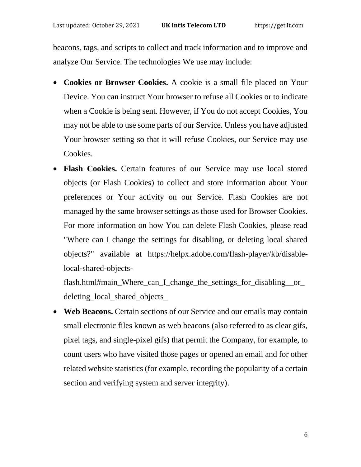beacons, tags, and scripts to collect and track information and to improve and analyze Our Service. The technologies We use may include:

- **Cookies or Browser Cookies.** A cookie is a small file placed on Your Device. You can instruct Your browser to refuse all Cookies or to indicate when a Cookie is being sent. However, if You do not accept Cookies, You may not be able to use some parts of our Service. Unless you have adjusted Your browser setting so that it will refuse Cookies, our Service may use Cookies.
- **Flash Cookies.** Certain features of our Service may use local stored objects (or Flash Cookies) to collect and store information about Your preferences or Your activity on our Service. Flash Cookies are not managed by the same browser settings as those used for Browser Cookies. For more information on how You can delete Flash Cookies, please read "Where can I change the settings for disabling, or deleting local shared objects?" available at [https://helpx.adobe.com/flash-player/kb/disable](https://helpx.adobe.com/flash-player/kb/disable-local-shared-objects-flash.html#main_Where_can_I_change_the_settings_for_disabling__or_deleting_local_shared_objects_)[local-shared-objects-](https://helpx.adobe.com/flash-player/kb/disable-local-shared-objects-flash.html#main_Where_can_I_change_the_settings_for_disabling__or_deleting_local_shared_objects_)

[flash.html#main\\_Where\\_can\\_I\\_change\\_the\\_settings\\_for\\_disabling\\_\\_or\\_](https://helpx.adobe.com/flash-player/kb/disable-local-shared-objects-flash.html#main_Where_can_I_change_the_settings_for_disabling__or_deleting_local_shared_objects_) [deleting\\_local\\_shared\\_objects\\_](https://helpx.adobe.com/flash-player/kb/disable-local-shared-objects-flash.html#main_Where_can_I_change_the_settings_for_disabling__or_deleting_local_shared_objects_)

• **Web Beacons.** Certain sections of our Service and our emails may contain small electronic files known as web beacons (also referred to as clear gifs, pixel tags, and single-pixel gifs) that permit the Company, for example, to count users who have visited those pages or opened an email and for other related website statistics (for example, recording the popularity of a certain section and verifying system and server integrity).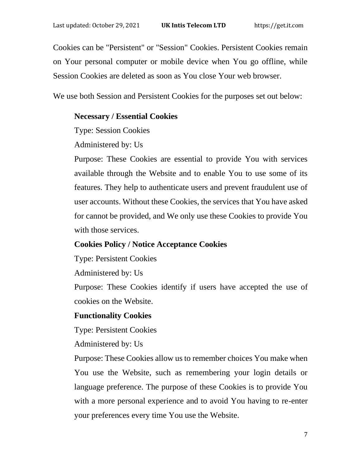Cookies can be "Persistent" or "Session" Cookies. Persistent Cookies remain on Your personal computer or mobile device when You go offline, while Session Cookies are deleted as soon as You close Your web browser.

We use both Session and Persistent Cookies for the purposes set out below:

#### **Necessary / Essential Cookies**

Type: Session Cookies

Administered by: Us

Purpose: These Cookies are essential to provide You with services available through the Website and to enable You to use some of its features. They help to authenticate users and prevent fraudulent use of user accounts. Without these Cookies, the services that You have asked for cannot be provided, and We only use these Cookies to provide You with those services.

### **Cookies Policy / Notice Acceptance Cookies**

Type: Persistent Cookies

Administered by: Us

Purpose: These Cookies identify if users have accepted the use of cookies on the Website.

#### **Functionality Cookies**

Type: Persistent Cookies

Administered by: Us

Purpose: These Cookies allow us to remember choices You make when You use the Website, such as remembering your login details or language preference. The purpose of these Cookies is to provide You with a more personal experience and to avoid You having to re-enter your preferences every time You use the Website.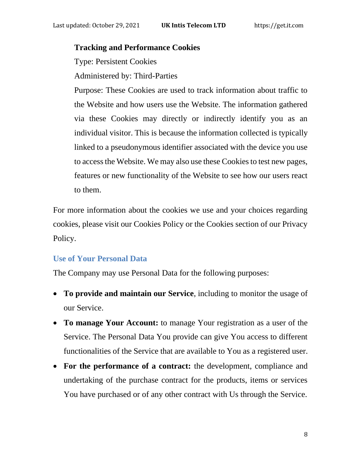#### **Tracking and Performance Cookies**

Type: Persistent Cookies

Administered by: Third-Parties

Purpose: These Cookies are used to track information about traffic to the Website and how users use the Website. The information gathered via these Cookies may directly or indirectly identify you as an individual visitor. This is because the information collected is typically linked to a pseudonymous identifier associated with the device you use to access the Website. We may also use these Cookies to test new pages, features or new functionality of the Website to see how our users react to them.

For more information about the cookies we use and your choices regarding cookies, please visit our Cookies Policy or the Cookies section of our Privacy Policy.

## **Use of Your Personal Data**

The Company may use Personal Data for the following purposes:

- **To provide and maintain our Service**, including to monitor the usage of our Service.
- **To manage Your Account:** to manage Your registration as a user of the Service. The Personal Data You provide can give You access to different functionalities of the Service that are available to You as a registered user.
- **For the performance of a contract:** the development, compliance and undertaking of the purchase contract for the products, items or services You have purchased or of any other contract with Us through the Service.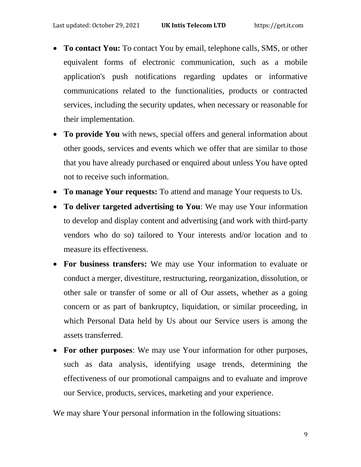- **To contact You:** To contact You by email, telephone calls, SMS, or other equivalent forms of electronic communication, such as a mobile application's push notifications regarding updates or informative communications related to the functionalities, products or contracted services, including the security updates, when necessary or reasonable for their implementation.
- **To provide You** with news, special offers and general information about other goods, services and events which we offer that are similar to those that you have already purchased or enquired about unless You have opted not to receive such information.
- **To manage Your requests:** To attend and manage Your requests to Us.
- **To deliver targeted advertising to You**: We may use Your information to develop and display content and advertising (and work with third-party vendors who do so) tailored to Your interests and/or location and to measure its effectiveness.
- **For business transfers:** We may use Your information to evaluate or conduct a merger, divestiture, restructuring, reorganization, dissolution, or other sale or transfer of some or all of Our assets, whether as a going concern or as part of bankruptcy, liquidation, or similar proceeding, in which Personal Data held by Us about our Service users is among the assets transferred.
- **For other purposes**: We may use Your information for other purposes, such as data analysis, identifying usage trends, determining the effectiveness of our promotional campaigns and to evaluate and improve our Service, products, services, marketing and your experience.

We may share Your personal information in the following situations: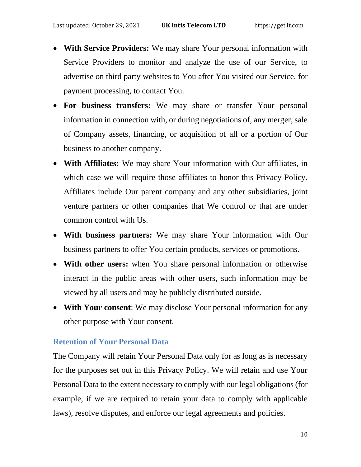- **With Service Providers:** We may share Your personal information with Service Providers to monitor and analyze the use of our Service, to advertise on third party websites to You after You visited our Service, for payment processing, to contact You.
- **For business transfers:** We may share or transfer Your personal information in connection with, or during negotiations of, any merger, sale of Company assets, financing, or acquisition of all or a portion of Our business to another company.
- **With Affiliates:** We may share Your information with Our affiliates, in which case we will require those affiliates to honor this Privacy Policy. Affiliates include Our parent company and any other subsidiaries, joint venture partners or other companies that We control or that are under common control with Us.
- **With business partners:** We may share Your information with Our business partners to offer You certain products, services or promotions.
- **With other users:** when You share personal information or otherwise interact in the public areas with other users, such information may be viewed by all users and may be publicly distributed outside.
- **With Your consent**: We may disclose Your personal information for any other purpose with Your consent.

### **Retention of Your Personal Data**

The Company will retain Your Personal Data only for as long as is necessary for the purposes set out in this Privacy Policy. We will retain and use Your Personal Data to the extent necessary to comply with our legal obligations (for example, if we are required to retain your data to comply with applicable laws), resolve disputes, and enforce our legal agreements and policies.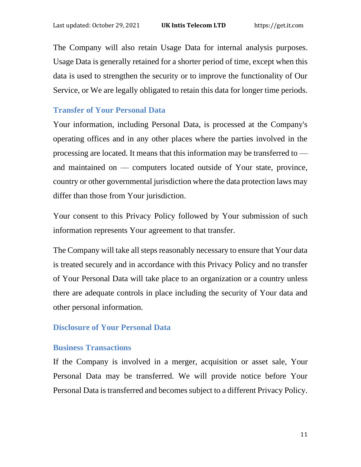The Company will also retain Usage Data for internal analysis purposes. Usage Data is generally retained for a shorter period of time, except when this data is used to strengthen the security or to improve the functionality of Our Service, or We are legally obligated to retain this data for longer time periods.

### **Transfer of Your Personal Data**

Your information, including Personal Data, is processed at the Company's operating offices and in any other places where the parties involved in the processing are located. It means that this information may be transferred to and maintained on — computers located outside of Your state, province, country or other governmental jurisdiction where the data protection laws may differ than those from Your jurisdiction.

Your consent to this Privacy Policy followed by Your submission of such information represents Your agreement to that transfer.

The Company will take all steps reasonably necessary to ensure that Your data is treated securely and in accordance with this Privacy Policy and no transfer of Your Personal Data will take place to an organization or a country unless there are adequate controls in place including the security of Your data and other personal information.

### **Disclosure of Your Personal Data**

### **Business Transactions**

If the Company is involved in a merger, acquisition or asset sale, Your Personal Data may be transferred. We will provide notice before Your Personal Data is transferred and becomes subject to a different Privacy Policy.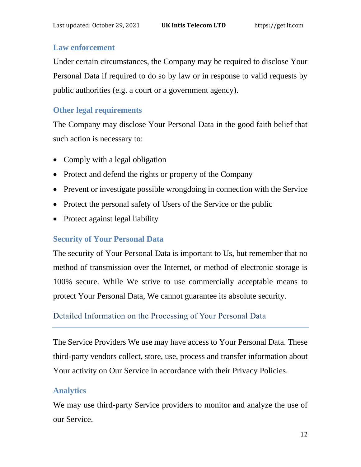## **Law enforcement**

Under certain circumstances, the Company may be required to disclose Your Personal Data if required to do so by law or in response to valid requests by public authorities (e.g. a court or a government agency).

# **Other legal requirements**

The Company may disclose Your Personal Data in the good faith belief that such action is necessary to:

- Comply with a legal obligation
- Protect and defend the rights or property of the Company
- Prevent or investigate possible wrongdoing in connection with the Service
- Protect the personal safety of Users of the Service or the public
- Protect against legal liability

# **Security of Your Personal Data**

The security of Your Personal Data is important to Us, but remember that no method of transmission over the Internet, or method of electronic storage is 100% secure. While We strive to use commercially acceptable means to protect Your Personal Data, We cannot guarantee its absolute security.

# Detailed Information on the Processing of Your Personal Data

The Service Providers We use may have access to Your Personal Data. These third-party vendors collect, store, use, process and transfer information about Your activity on Our Service in accordance with their Privacy Policies.

## **Analytics**

We may use third-party Service providers to monitor and analyze the use of our Service.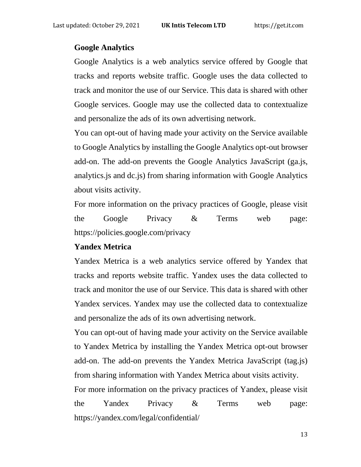#### **Google Analytics**

Google Analytics is a web analytics service offered by Google that tracks and reports website traffic. Google uses the data collected to track and monitor the use of our Service. This data is shared with other Google services. Google may use the collected data to contextualize and personalize the ads of its own advertising network.

You can opt-out of having made your activity on the Service available to Google Analytics by installing the Google Analytics opt-out browser add-on. The add-on prevents the Google Analytics JavaScript (ga.js, analytics.js and dc.js) from sharing information with Google Analytics about visits activity.

For more information on the privacy practices of Google, please visit the Google Privacy & Terms web page: <https://policies.google.com/privacy>

### **Yandex Metrica**

Yandex Metrica is a web analytics service offered by Yandex that tracks and reports website traffic. Yandex uses the data collected to track and monitor the use of our Service. This data is shared with other Yandex services. Yandex may use the collected data to contextualize and personalize the ads of its own advertising network.

You can opt-out of having made your activity on the Service available to Yandex Metrica by installing the Yandex Metrica opt-out browser add-on. The add-on prevents the Yandex Metrica JavaScript (tag.js) from sharing information with Yandex Metrica about visits activity.

For more information on the privacy practices of Yandex, please visit the Yandex Privacy & Terms web page: https://yandex.com/legal/confidential/

13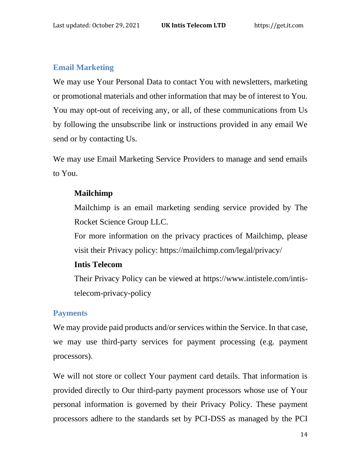### **Email Marketing**

We may use Your Personal Data to contact You with newsletters, marketing or promotional materials and other information that may be of interest to You. You may opt-out of receiving any, or all, of these communications from Us by following the unsubscribe link or instructions provided in any email We send or by contacting Us.

We may use Email Marketing Service Providers to manage and send emails to You.

### **Mailchimp**

Mailchimp is an email marketing sending service provided by The Rocket Science Group LLC.

For more information on the privacy practices of Mailchimp, please visit their Privacy policy:<https://mailchimp.com/legal/privacy/>

#### **Intis Telecom**

Their Privacy Policy can be viewed at [https://www.intistele.com/intis](https://www.intistele.com/intis-telecom-privacy-policy)[telecom-privacy-policy](https://www.intistele.com/intis-telecom-privacy-policy)

### **Payments**

We may provide paid products and/or services within the Service. In that case, we may use third-party services for payment processing (e.g. payment processors).

We will not store or collect Your payment card details. That information is provided directly to Our third-party payment processors whose use of Your personal information is governed by their Privacy Policy. These payment processors adhere to the standards set by PCI-DSS as managed by the PCI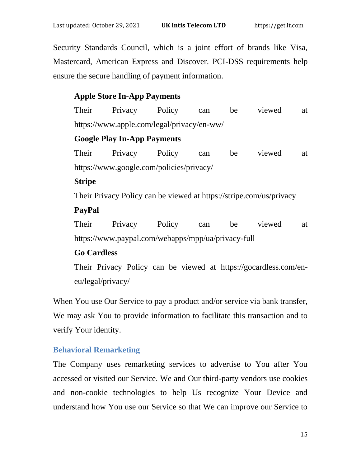Security Standards Council, which is a joint effort of brands like Visa, Mastercard, American Express and Discover. PCI-DSS requirements help ensure the secure handling of payment information.

### **Apple Store In-App Payments**

Their Privacy Policy can be viewed at <https://www.apple.com/legal/privacy/en-ww/>

### **Google Play In-App Payments**

Their Privacy Policy can be viewed at <https://www.google.com/policies/privacy/>

#### **Stripe**

Their Privacy Policy can be viewed at<https://stripe.com/us/privacy>

### **PayPal**

Their Privacy Policy can be viewed at <https://www.paypal.com/webapps/mpp/ua/privacy-full>

## **Go Cardless**

Their Privacy Policy can be viewed at [https://gocardless.com/en](https://gocardless.com/en-eu/legal/privacy/)[eu/legal/privacy/](https://gocardless.com/en-eu/legal/privacy/)

When You use Our Service to pay a product and/or service via bank transfer, We may ask You to provide information to facilitate this transaction and to verify Your identity.

## **Behavioral Remarketing**

The Company uses remarketing services to advertise to You after You accessed or visited our Service. We and Our third-party vendors use cookies and non-cookie technologies to help Us recognize Your Device and understand how You use our Service so that We can improve our Service to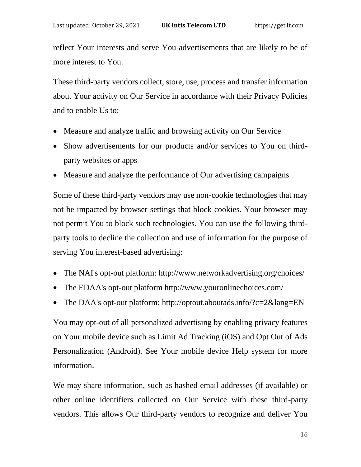reflect Your interests and serve You advertisements that are likely to be of more interest to You.

These third-party vendors collect, store, use, process and transfer information about Your activity on Our Service in accordance with their Privacy Policies and to enable Us to:

- Measure and analyze traffic and browsing activity on Our Service
- Show advertisements for our products and/or services to You on thirdparty websites or apps
- Measure and analyze the performance of Our advertising campaigns

Some of these third-party vendors may use non-cookie technologies that may not be impacted by browser settings that block cookies. Your browser may not permit You to block such technologies. You can use the following thirdparty tools to decline the collection and use of information for the purpose of serving You interest-based advertising:

- The NAI's opt-out platform:<http://www.networkadvertising.org/choices/>
- The EDAA's opt-out platform<http://www.youronlinechoices.com/>
- The DAA's opt-out platform:<http://optout.aboutads.info/?c=2&lang=EN>

You may opt-out of all personalized advertising by enabling privacy features on Your mobile device such as Limit Ad Tracking (iOS) and Opt Out of Ads Personalization (Android). See Your mobile device Help system for more information.

We may share information, such as hashed email addresses (if available) or other online identifiers collected on Our Service with these third-party vendors. This allows Our third-party vendors to recognize and deliver You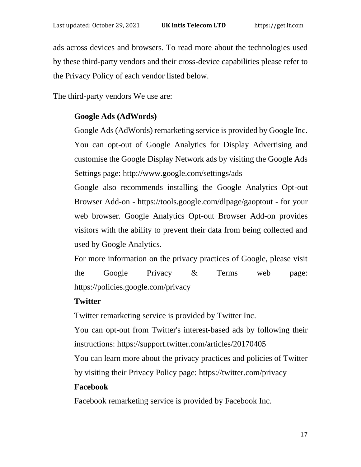ads across devices and browsers. To read more about the technologies used by these third-party vendors and their cross-device capabilities please refer to the Privacy Policy of each vendor listed below.

The third-party vendors We use are:

### **Google Ads (AdWords)**

Google Ads (AdWords) remarketing service is provided by Google Inc. You can opt-out of Google Analytics for Display Advertising and customise the Google Display Network ads by visiting the Google Ads Settings page:<http://www.google.com/settings/ads>

Google also recommends installing the Google Analytics Opt-out Browser Add-on - <https://tools.google.com/dlpage/gaoptout> - for your web browser. Google Analytics Opt-out Browser Add-on provides visitors with the ability to prevent their data from being collected and used by Google Analytics.

For more information on the privacy practices of Google, please visit the Google Privacy & Terms web page: <https://policies.google.com/privacy>

### **Twitter**

Twitter remarketing service is provided by Twitter Inc.

You can opt-out from Twitter's interest-based ads by following their instructions:<https://support.twitter.com/articles/20170405>

You can learn more about the privacy practices and policies of Twitter

by visiting their Privacy Policy page:<https://twitter.com/privacy>

#### **Facebook**

Facebook remarketing service is provided by Facebook Inc.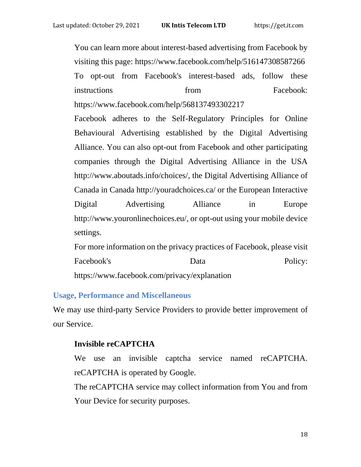You can learn more about interest-based advertising from Facebook by visiting this page:<https://www.facebook.com/help/516147308587266> To opt-out from Facebook's interest-based ads, follow these instructions **from Facebook:** <https://www.facebook.com/help/568137493302217> Facebook adheres to the Self-Regulatory Principles for Online Behavioural Advertising established by the Digital Advertising Alliance. You can also opt-out from Facebook and other participating companies through the Digital Advertising Alliance in the USA [http://www.aboutads.info/choices/,](http://www.aboutads.info/choices/) the Digital Advertising Alliance of Canada in Canada<http://youradchoices.ca/> or the European Interactive Digital Advertising Alliance in Europe [http://www.youronlinechoices.eu/,](http://www.youronlinechoices.eu/) or opt-out using your mobile device settings.

For more information on the privacy practices of Facebook, please visit Facebook's Data Policy: <https://www.facebook.com/privacy/explanation>

### **Usage, Performance and Miscellaneous**

We may use third-party Service Providers to provide better improvement of our Service.

### **Invisible reCAPTCHA**

We use an invisible captcha service named reCAPTCHA. reCAPTCHA is operated by Google.

The reCAPTCHA service may collect information from You and from Your Device for security purposes.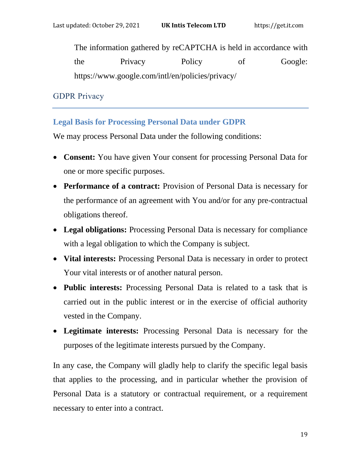The information gathered by reCAPTCHA is held in accordance with the Privacy Policy of Google: <https://www.google.com/intl/en/policies/privacy/>

GDPR Privacy

# **Legal Basis for Processing Personal Data under GDPR**

We may process Personal Data under the following conditions:

- **Consent:** You have given Your consent for processing Personal Data for one or more specific purposes.
- **Performance of a contract:** Provision of Personal Data is necessary for the performance of an agreement with You and/or for any pre-contractual obligations thereof.
- **Legal obligations:** Processing Personal Data is necessary for compliance with a legal obligation to which the Company is subject.
- **Vital interests:** Processing Personal Data is necessary in order to protect Your vital interests or of another natural person.
- **Public interests:** Processing Personal Data is related to a task that is carried out in the public interest or in the exercise of official authority vested in the Company.
- **Legitimate interests:** Processing Personal Data is necessary for the purposes of the legitimate interests pursued by the Company.

In any case, the Company will gladly help to clarify the specific legal basis that applies to the processing, and in particular whether the provision of Personal Data is a statutory or contractual requirement, or a requirement necessary to enter into a contract.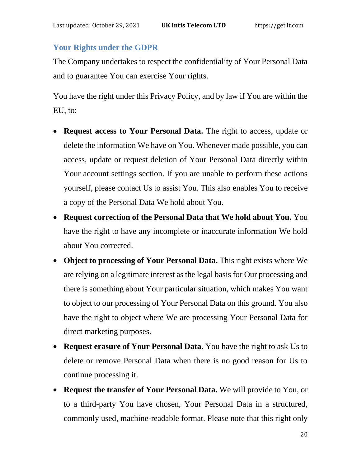### **Your Rights under the GDPR**

The Company undertakes to respect the confidentiality of Your Personal Data and to guarantee You can exercise Your rights.

You have the right under this Privacy Policy, and by law if You are within the EU, to:

- **Request access to Your Personal Data.** The right to access, update or delete the information We have on You. Whenever made possible, you can access, update or request deletion of Your Personal Data directly within Your account settings section. If you are unable to perform these actions yourself, please contact Us to assist You. This also enables You to receive a copy of the Personal Data We hold about You.
- **Request correction of the Personal Data that We hold about You.** You have the right to have any incomplete or inaccurate information We hold about You corrected.
- **Object to processing of Your Personal Data.** This right exists where We are relying on a legitimate interest as the legal basis for Our processing and there is something about Your particular situation, which makes You want to object to our processing of Your Personal Data on this ground. You also have the right to object where We are processing Your Personal Data for direct marketing purposes.
- **Request erasure of Your Personal Data.** You have the right to ask Us to delete or remove Personal Data when there is no good reason for Us to continue processing it.
- **Request the transfer of Your Personal Data.** We will provide to You, or to a third-party You have chosen, Your Personal Data in a structured, commonly used, machine-readable format. Please note that this right only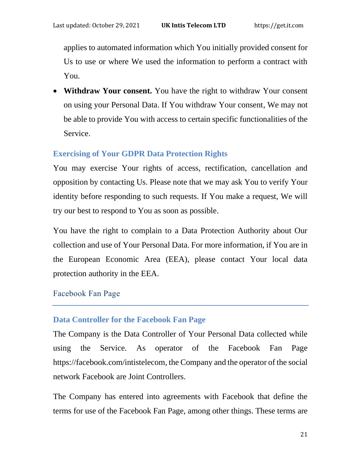applies to automated information which You initially provided consent for Us to use or where We used the information to perform a contract with You.

• **Withdraw Your consent.** You have the right to withdraw Your consent on using your Personal Data. If You withdraw Your consent, We may not be able to provide You with access to certain specific functionalities of the Service.

# **Exercising of Your GDPR Data Protection Rights**

You may exercise Your rights of access, rectification, cancellation and opposition by contacting Us. Please note that we may ask You to verify Your identity before responding to such requests. If You make a request, We will try our best to respond to You as soon as possible.

You have the right to complain to a Data Protection Authority about Our collection and use of Your Personal Data. For more information, if You are in the European Economic Area (EEA), please contact Your local data protection authority in the EEA.

# Facebook Fan Page

## **Data Controller for the Facebook Fan Page**

The Company is the Data Controller of Your Personal Data collected while using the Service. As operator of the Facebook Fan Page [https://facebook.com/intistelecom,](https://facebook.com/intistelecom) the Company and the operator of the social network Facebook are Joint Controllers.

The Company has entered into agreements with Facebook that define the terms for use of the Facebook Fan Page, among other things. These terms are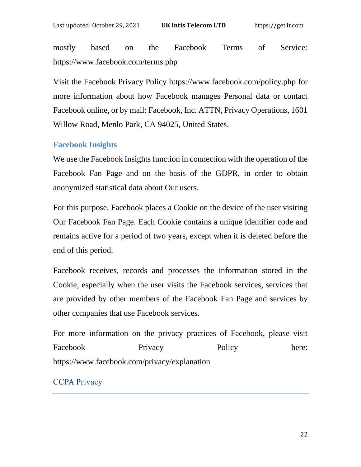mostly based on the Facebook Terms of Service: <https://www.facebook.com/terms.php>

Visit the Facebook Privacy Policy<https://www.facebook.com/policy.php> for more information about how Facebook manages Personal data or contact Facebook online, or by mail: Facebook, Inc. ATTN, Privacy Operations, 1601 Willow Road, Menlo Park, CA 94025, United States.

### **Facebook Insights**

We use the Facebook Insights function in connection with the operation of the Facebook Fan Page and on the basis of the GDPR, in order to obtain anonymized statistical data about Our users.

For this purpose, Facebook places a Cookie on the device of the user visiting Our Facebook Fan Page. Each Cookie contains a unique identifier code and remains active for a period of two years, except when it is deleted before the end of this period.

Facebook receives, records and processes the information stored in the Cookie, especially when the user visits the Facebook services, services that are provided by other members of the Facebook Fan Page and services by other companies that use Facebook services.

For more information on the privacy practices of Facebook, please visit Facebook Privacy Policy here: <https://www.facebook.com/privacy/explanation>

## CCPA Privacy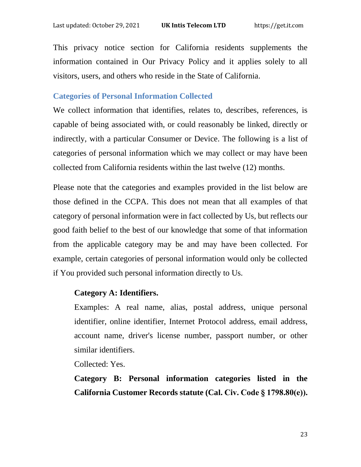This privacy notice section for California residents supplements the information contained in Our Privacy Policy and it applies solely to all visitors, users, and others who reside in the State of California.

#### **Categories of Personal Information Collected**

We collect information that identifies, relates to, describes, references, is capable of being associated with, or could reasonably be linked, directly or indirectly, with a particular Consumer or Device. The following is a list of categories of personal information which we may collect or may have been collected from California residents within the last twelve (12) months.

Please note that the categories and examples provided in the list below are those defined in the CCPA. This does not mean that all examples of that category of personal information were in fact collected by Us, but reflects our good faith belief to the best of our knowledge that some of that information from the applicable category may be and may have been collected. For example, certain categories of personal information would only be collected if You provided such personal information directly to Us.

### **Category A: Identifiers.**

Examples: A real name, alias, postal address, unique personal identifier, online identifier, Internet Protocol address, email address, account name, driver's license number, passport number, or other similar identifiers.

Collected: Yes.

**Category B: Personal information categories listed in the California Customer Records statute (Cal. Civ. Code § 1798.80(e)).**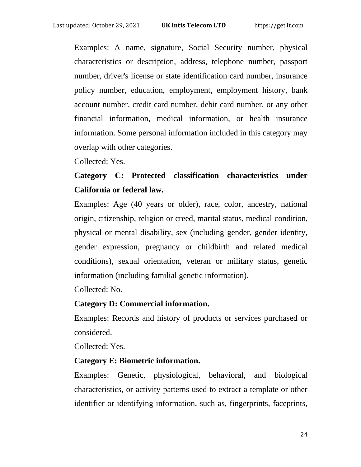Examples: A name, signature, Social Security number, physical characteristics or description, address, telephone number, passport number, driver's license or state identification card number, insurance policy number, education, employment, employment history, bank account number, credit card number, debit card number, or any other financial information, medical information, or health insurance information. Some personal information included in this category may overlap with other categories.

Collected: Yes.

# **Category C: Protected classification characteristics under California or federal law.**

Examples: Age (40 years or older), race, color, ancestry, national origin, citizenship, religion or creed, marital status, medical condition, physical or mental disability, sex (including gender, gender identity, gender expression, pregnancy or childbirth and related medical conditions), sexual orientation, veteran or military status, genetic information (including familial genetic information).

Collected: No.

### **Category D: Commercial information.**

Examples: Records and history of products or services purchased or considered.

Collected: Yes.

### **Category E: Biometric information.**

Examples: Genetic, physiological, behavioral, and biological characteristics, or activity patterns used to extract a template or other identifier or identifying information, such as, fingerprints, faceprints,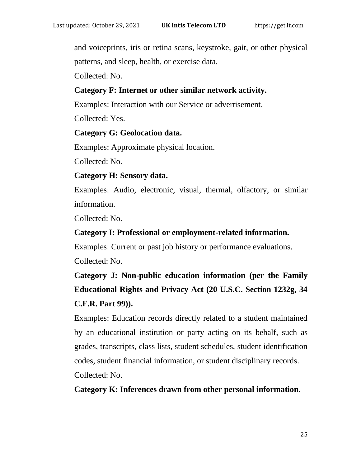and voiceprints, iris or retina scans, keystroke, gait, or other physical patterns, and sleep, health, or exercise data.

Collected: No.

### **Category F: Internet or other similar network activity.**

Examples: Interaction with our Service or advertisement.

Collected: Yes.

### **Category G: Geolocation data.**

Examples: Approximate physical location.

Collected: No.

### **Category H: Sensory data.**

Examples: Audio, electronic, visual, thermal, olfactory, or similar information.

Collected: No.

### **Category I: Professional or employment-related information.**

Examples: Current or past job history or performance evaluations. Collected: No.

# **Category J: Non-public education information (per the Family Educational Rights and Privacy Act (20 U.S.C. Section 1232g, 34 C.F.R. Part 99)).**

Examples: Education records directly related to a student maintained by an educational institution or party acting on its behalf, such as grades, transcripts, class lists, student schedules, student identification codes, student financial information, or student disciplinary records. Collected: No.

## **Category K: Inferences drawn from other personal information.**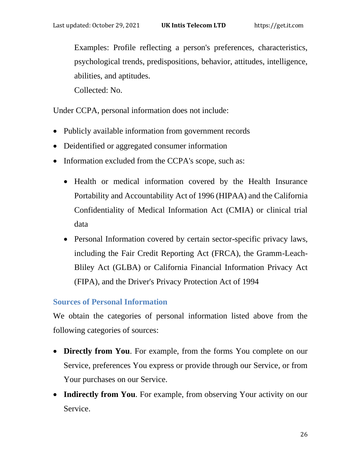Examples: Profile reflecting a person's preferences, characteristics, psychological trends, predispositions, behavior, attitudes, intelligence, abilities, and aptitudes.

Collected: No.

Under CCPA, personal information does not include:

- Publicly available information from government records
- Deidentified or aggregated consumer information
- Information excluded from the CCPA's scope, such as:
	- Health or medical information covered by the Health Insurance Portability and Accountability Act of 1996 (HIPAA) and the California Confidentiality of Medical Information Act (CMIA) or clinical trial data
	- Personal Information covered by certain sector-specific privacy laws, including the Fair Credit Reporting Act (FRCA), the Gramm-Leach-Bliley Act (GLBA) or California Financial Information Privacy Act (FIPA), and the Driver's Privacy Protection Act of 1994

## **Sources of Personal Information**

We obtain the categories of personal information listed above from the following categories of sources:

- **Directly from You**. For example, from the forms You complete on our Service, preferences You express or provide through our Service, or from Your purchases on our Service.
- **Indirectly from You**. For example, from observing Your activity on our Service.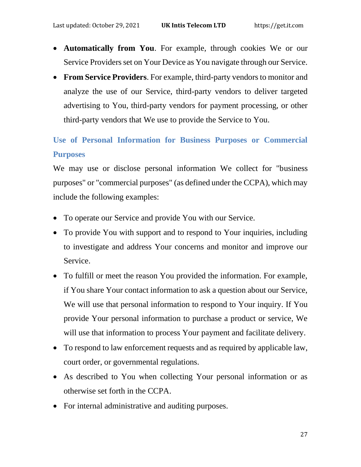- **Automatically from You**. For example, through cookies We or our Service Providers set on Your Device as You navigate through our Service.
- **From Service Providers**. For example, third-party vendors to monitor and analyze the use of our Service, third-party vendors to deliver targeted advertising to You, third-party vendors for payment processing, or other third-party vendors that We use to provide the Service to You.

# **Use of Personal Information for Business Purposes or Commercial Purposes**

We may use or disclose personal information We collect for "business purposes" or "commercial purposes" (as defined under the CCPA), which may include the following examples:

- To operate our Service and provide You with our Service.
- To provide You with support and to respond to Your inquiries, including to investigate and address Your concerns and monitor and improve our Service.
- To fulfill or meet the reason You provided the information. For example, if You share Your contact information to ask a question about our Service, We will use that personal information to respond to Your inquiry. If You provide Your personal information to purchase a product or service, We will use that information to process Your payment and facilitate delivery.
- To respond to law enforcement requests and as required by applicable law, court order, or governmental regulations.
- As described to You when collecting Your personal information or as otherwise set forth in the CCPA.
- For internal administrative and auditing purposes.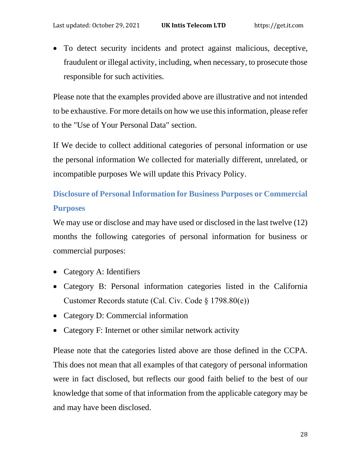• To detect security incidents and protect against malicious, deceptive, fraudulent or illegal activity, including, when necessary, to prosecute those responsible for such activities.

Please note that the examples provided above are illustrative and not intended to be exhaustive. For more details on how we use this information, please refer to the "Use of Your Personal Data" section.

If We decide to collect additional categories of personal information or use the personal information We collected for materially different, unrelated, or incompatible purposes We will update this Privacy Policy.

# **Disclosure of Personal Information for Business Purposes or Commercial Purposes**

We may use or disclose and may have used or disclosed in the last twelve (12) months the following categories of personal information for business or commercial purposes:

- Category A: Identifiers
- Category B: Personal information categories listed in the California Customer Records statute (Cal. Civ. Code § 1798.80(e))
- Category D: Commercial information
- Category F: Internet or other similar network activity

Please note that the categories listed above are those defined in the CCPA. This does not mean that all examples of that category of personal information were in fact disclosed, but reflects our good faith belief to the best of our knowledge that some of that information from the applicable category may be and may have been disclosed.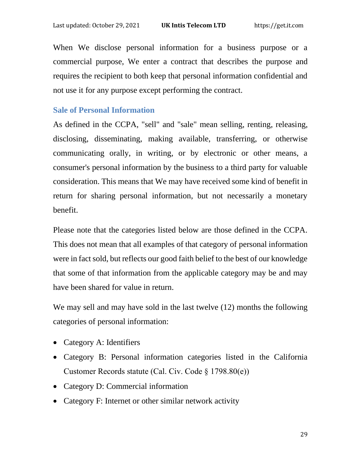When We disclose personal information for a business purpose or a commercial purpose, We enter a contract that describes the purpose and requires the recipient to both keep that personal information confidential and not use it for any purpose except performing the contract.

#### **Sale of Personal Information**

As defined in the CCPA, "sell" and "sale" mean selling, renting, releasing, disclosing, disseminating, making available, transferring, or otherwise communicating orally, in writing, or by electronic or other means, a consumer's personal information by the business to a third party for valuable consideration. This means that We may have received some kind of benefit in return for sharing personal information, but not necessarily a monetary benefit.

Please note that the categories listed below are those defined in the CCPA. This does not mean that all examples of that category of personal information were in fact sold, but reflects our good faith belief to the best of our knowledge that some of that information from the applicable category may be and may have been shared for value in return.

We may sell and may have sold in the last twelve (12) months the following categories of personal information:

- Category A: Identifiers
- Category B: Personal information categories listed in the California Customer Records statute (Cal. Civ. Code § 1798.80(e))
- Category D: Commercial information
- Category F: Internet or other similar network activity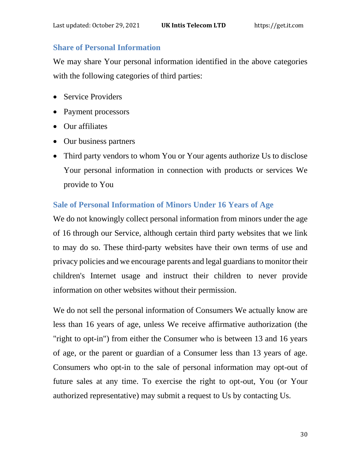### **Share of Personal Information**

We may share Your personal information identified in the above categories with the following categories of third parties:

- Service Providers
- Payment processors
- Our affiliates
- Our business partners
- Third party vendors to whom You or Your agents authorize Us to disclose Your personal information in connection with products or services We provide to You

## **Sale of Personal Information of Minors Under 16 Years of Age**

We do not knowingly collect personal information from minors under the age of 16 through our Service, although certain third party websites that we link to may do so. These third-party websites have their own terms of use and privacy policies and we encourage parents and legal guardians to monitor their children's Internet usage and instruct their children to never provide information on other websites without their permission.

We do not sell the personal information of Consumers We actually know are less than 16 years of age, unless We receive affirmative authorization (the "right to opt-in") from either the Consumer who is between 13 and 16 years of age, or the parent or guardian of a Consumer less than 13 years of age. Consumers who opt-in to the sale of personal information may opt-out of future sales at any time. To exercise the right to opt-out, You (or Your authorized representative) may submit a request to Us by contacting Us.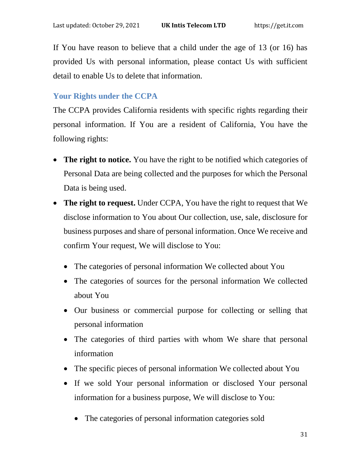If You have reason to believe that a child under the age of 13 (or 16) has provided Us with personal information, please contact Us with sufficient detail to enable Us to delete that information.

# **Your Rights under the CCPA**

The CCPA provides California residents with specific rights regarding their personal information. If You are a resident of California, You have the following rights:

- **The right to notice.** You have the right to be notified which categories of Personal Data are being collected and the purposes for which the Personal Data is being used.
- **The right to request.** Under CCPA, You have the right to request that We disclose information to You about Our collection, use, sale, disclosure for business purposes and share of personal information. Once We receive and confirm Your request, We will disclose to You:
	- The categories of personal information We collected about You
	- The categories of sources for the personal information We collected about You
	- Our business or commercial purpose for collecting or selling that personal information
	- The categories of third parties with whom We share that personal information
	- The specific pieces of personal information We collected about You
	- If we sold Your personal information or disclosed Your personal information for a business purpose, We will disclose to You:
		- The categories of personal information categories sold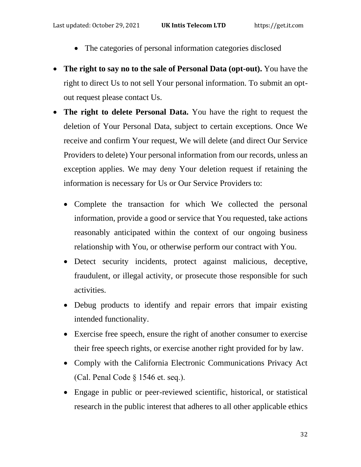- The categories of personal information categories disclosed
- **The right to say no to the sale of Personal Data (opt-out).** You have the right to direct Us to not sell Your personal information. To submit an optout request please contact Us.
- **The right to delete Personal Data.** You have the right to request the deletion of Your Personal Data, subject to certain exceptions. Once We receive and confirm Your request, We will delete (and direct Our Service Providers to delete) Your personal information from our records, unless an exception applies. We may deny Your deletion request if retaining the information is necessary for Us or Our Service Providers to:
	- Complete the transaction for which We collected the personal information, provide a good or service that You requested, take actions reasonably anticipated within the context of our ongoing business relationship with You, or otherwise perform our contract with You.
	- Detect security incidents, protect against malicious, deceptive, fraudulent, or illegal activity, or prosecute those responsible for such activities.
	- Debug products to identify and repair errors that impair existing intended functionality.
	- Exercise free speech, ensure the right of another consumer to exercise their free speech rights, or exercise another right provided for by law.
	- Comply with the California Electronic Communications Privacy Act (Cal. Penal Code § 1546 et. seq.).
	- Engage in public or peer-reviewed scientific, historical, or statistical research in the public interest that adheres to all other applicable ethics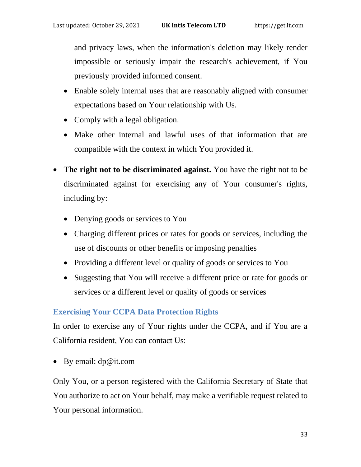and privacy laws, when the information's deletion may likely render impossible or seriously impair the research's achievement, if You previously provided informed consent.

- Enable solely internal uses that are reasonably aligned with consumer expectations based on Your relationship with Us.
- Comply with a legal obligation.
- Make other internal and lawful uses of that information that are compatible with the context in which You provided it.
- **The right not to be discriminated against.** You have the right not to be discriminated against for exercising any of Your consumer's rights, including by:
	- Denying goods or services to You
	- Charging different prices or rates for goods or services, including the use of discounts or other benefits or imposing penalties
	- Providing a different level or quality of goods or services to You
	- Suggesting that You will receive a different price or rate for goods or services or a different level or quality of goods or services

# **Exercising Your CCPA Data Protection Rights**

In order to exercise any of Your rights under the CCPA, and if You are a California resident, You can contact Us:

• By email: dp@it.com

Only You, or a person registered with the California Secretary of State that You authorize to act on Your behalf, may make a verifiable request related to Your personal information.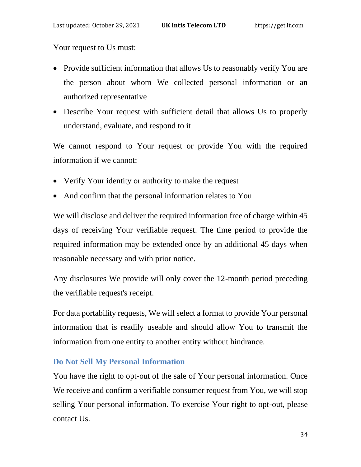Your request to Us must:

- Provide sufficient information that allows Us to reasonably verify You are the person about whom We collected personal information or an authorized representative
- Describe Your request with sufficient detail that allows Us to properly understand, evaluate, and respond to it

We cannot respond to Your request or provide You with the required information if we cannot:

- Verify Your identity or authority to make the request
- And confirm that the personal information relates to You

We will disclose and deliver the required information free of charge within 45 days of receiving Your verifiable request. The time period to provide the required information may be extended once by an additional 45 days when reasonable necessary and with prior notice.

Any disclosures We provide will only cover the 12-month period preceding the verifiable request's receipt.

For data portability requests, We will select a format to provide Your personal information that is readily useable and should allow You to transmit the information from one entity to another entity without hindrance.

### **Do Not Sell My Personal Information**

You have the right to opt-out of the sale of Your personal information. Once We receive and confirm a verifiable consumer request from You, we will stop selling Your personal information. To exercise Your right to opt-out, please contact Us.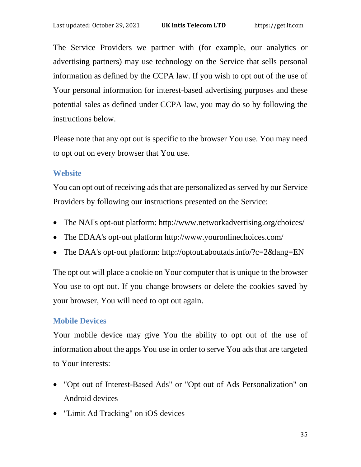The Service Providers we partner with (for example, our analytics or advertising partners) may use technology on the Service that sells personal information as defined by the CCPA law. If you wish to opt out of the use of Your personal information for interest-based advertising purposes and these potential sales as defined under CCPA law, you may do so by following the instructions below.

Please note that any opt out is specific to the browser You use. You may need to opt out on every browser that You use.

### **Website**

You can opt out of receiving ads that are personalized as served by our Service Providers by following our instructions presented on the Service:

- The NAI's opt-out platform:<http://www.networkadvertising.org/choices/>
- The EDAA's opt-out platform<http://www.youronlinechoices.com/>
- The DAA's opt-out platform:<http://optout.aboutads.info/?c=2&lang=EN>

The opt out will place a cookie on Your computer that is unique to the browser You use to opt out. If you change browsers or delete the cookies saved by your browser, You will need to opt out again.

## **Mobile Devices**

Your mobile device may give You the ability to opt out of the use of information about the apps You use in order to serve You ads that are targeted to Your interests:

- "Opt out of Interest-Based Ads" or "Opt out of Ads Personalization" on Android devices
- "Limit Ad Tracking" on iOS devices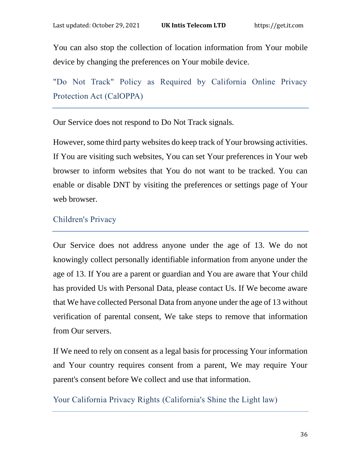You can also stop the collection of location information from Your mobile device by changing the preferences on Your mobile device.

"Do Not Track" Policy as Required by California Online Privacy Protection Act (CalOPPA)

Our Service does not respond to Do Not Track signals.

However, some third party websites do keep track of Your browsing activities. If You are visiting such websites, You can set Your preferences in Your web browser to inform websites that You do not want to be tracked. You can enable or disable DNT by visiting the preferences or settings page of Your web browser.

### Children's Privacy

Our Service does not address anyone under the age of 13. We do not knowingly collect personally identifiable information from anyone under the age of 13. If You are a parent or guardian and You are aware that Your child has provided Us with Personal Data, please contact Us. If We become aware that We have collected Personal Data from anyone under the age of 13 without verification of parental consent, We take steps to remove that information from Our servers.

If We need to rely on consent as a legal basis for processing Your information and Your country requires consent from a parent, We may require Your parent's consent before We collect and use that information.

Your California Privacy Rights (California's Shine the Light law)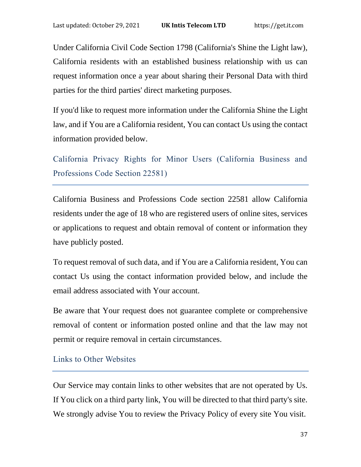Under California Civil Code Section 1798 (California's Shine the Light law), California residents with an established business relationship with us can request information once a year about sharing their Personal Data with third parties for the third parties' direct marketing purposes.

If you'd like to request more information under the California Shine the Light law, and if You are a California resident, You can contact Us using the contact information provided below.

California Privacy Rights for Minor Users (California Business and Professions Code Section 22581)

California Business and Professions Code section 22581 allow California residents under the age of 18 who are registered users of online sites, services or applications to request and obtain removal of content or information they have publicly posted.

To request removal of such data, and if You are a California resident, You can contact Us using the contact information provided below, and include the email address associated with Your account.

Be aware that Your request does not guarantee complete or comprehensive removal of content or information posted online and that the law may not permit or require removal in certain circumstances.

### Links to Other Websites

Our Service may contain links to other websites that are not operated by Us. If You click on a third party link, You will be directed to that third party's site. We strongly advise You to review the Privacy Policy of every site You visit.